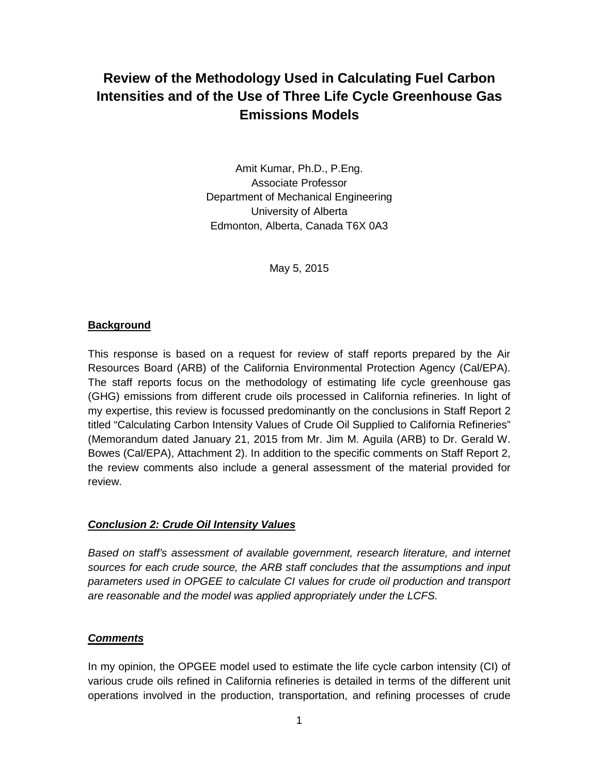# **Review of the Methodology Used in Calculating Fuel Carbon Intensities and of the Use of Three Life Cycle Greenhouse Gas Emissions Models**

Amit Kumar, Ph.D., P.Eng. Associate Professor Department of Mechanical Engineering University of Alberta Edmonton, Alberta, Canada T6X 0A3

May 5, 2015

## **Background**

This response is based on a request for review of staff reports prepared by the Air Resources Board (ARB) of the California Environmental Protection Agency (Cal/EPA). The staff reports focus on the methodology of estimating life cycle greenhouse gas (GHG) emissions from different crude oils processed in California refineries. In light of my expertise, this review is focussed predominantly on the conclusions in Staff Report 2 titled "Calculating Carbon Intensity Values of Crude Oil Supplied to California Refineries" (Memorandum dated January 21, 2015 from Mr. Jim M. Aguila (ARB) to Dr. Gerald W. Bowes (Cal/EPA), Attachment 2). In addition to the specific comments on Staff Report 2, the review comments also include a general assessment of the material provided for review.

#### *Conclusion 2: Crude Oil Intensity Values*

*Based on staff's assessment of available government, research literature, and internet sources for each crude source, the ARB staff concludes that the assumptions and input parameters used in OPGEE to calculate CI values for crude oil production and transport are reasonable and the model was applied appropriately under the LCFS.*

#### *Comments*

In my opinion, the OPGEE model used to estimate the life cycle carbon intensity (CI) of various crude oils refined in California refineries is detailed in terms of the different unit operations involved in the production, transportation, and refining processes of crude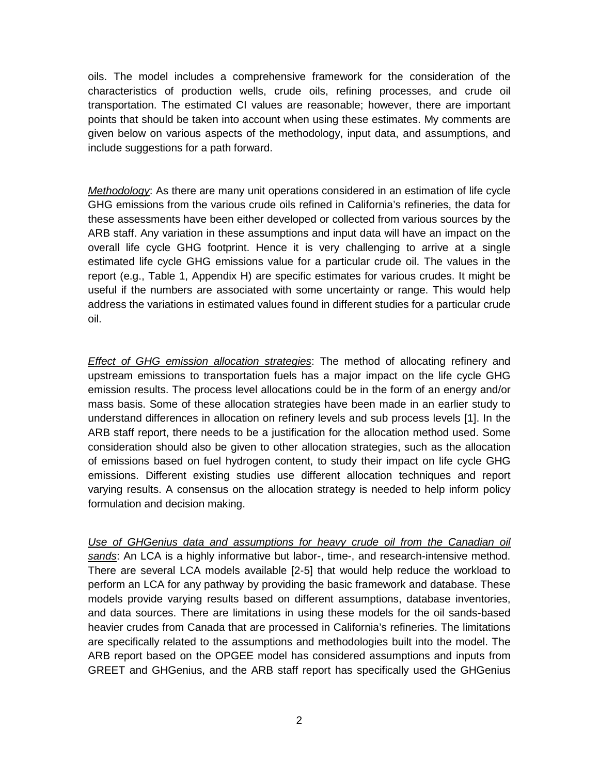oils. The model includes a comprehensive framework for the consideration of the characteristics of production wells, crude oils, refining processes, and crude oil transportation. The estimated CI values are reasonable; however, there are important points that should be taken into account when using these estimates. My comments are given below on various aspects of the methodology, input data, and assumptions, and include suggestions for a path forward.

*Methodology*: As there are many unit operations considered in an estimation of life cycle GHG emissions from the various crude oils refined in California's refineries, the data for these assessments have been either developed or collected from various sources by the ARB staff. Any variation in these assumptions and input data will have an impact on the overall life cycle GHG footprint. Hence it is very challenging to arrive at a single estimated life cycle GHG emissions value for a particular crude oil. The values in the report (e.g., Table 1, Appendix H) are specific estimates for various crudes. It might be useful if the numbers are associated with some uncertainty or range. This would help address the variations in estimated values found in different studies for a particular crude oil.

*Effect of GHG emission allocation strategies*: The method of allocating refinery and upstream emissions to transportation fuels has a major impact on the life cycle GHG emission results. The process level allocations could be in the form of an energy and/or mass basis. Some of these allocation strategies have been made in an earlier study to understand differences in allocation on refinery levels and sub process levels [1]. In the ARB staff report, there needs to be a justification for the allocation method used. Some consideration should also be given to other allocation strategies, such as the allocation of emissions based on fuel hydrogen content, to study their impact on life cycle GHG emissions. Different existing studies use different allocation techniques and report varying results. A consensus on the allocation strategy is needed to help inform policy formulation and decision making.

*Use of GHGenius data and assumptions for heavy crude oil from the Canadian oil sands*: An LCA is a highly informative but labor-, time-, and research-intensive method. There are several LCA models available [2-5] that would help reduce the workload to perform an LCA for any pathway by providing the basic framework and database. These models provide varying results based on different assumptions, database inventories, and data sources. There are limitations in using these models for the oil sands-based heavier crudes from Canada that are processed in California's refineries. The limitations are specifically related to the assumptions and methodologies built into the model. The ARB report based on the OPGEE model has considered assumptions and inputs from GREET and GHGenius, and the ARB staff report has specifically used the GHGenius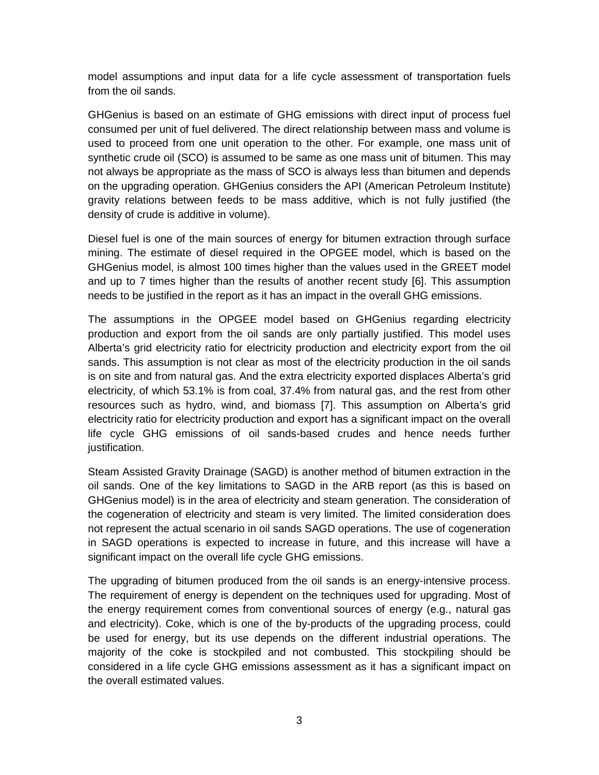model assumptions and input data for a life cycle assessment of transportation fuels from the oil sands.

GHGenius is based on an estimate of GHG emissions with direct input of process fuel consumed per unit of fuel delivered. The direct relationship between mass and volume is used to proceed from one unit operation to the other. For example, one mass unit of synthetic crude oil (SCO) is assumed to be same as one mass unit of bitumen. This may not always be appropriate as the mass of SCO is always less than bitumen and depends on the upgrading operation. GHGenius considers the API (American Petroleum Institute) gravity relations between feeds to be mass additive, which is not fully justified (the density of crude is additive in volume).

Diesel fuel is one of the main sources of energy for bitumen extraction through surface mining. The estimate of diesel required in the OPGEE model, which is based on the GHGenius model, is almost 100 times higher than the values used in the GREET model and up to 7 times higher than the results of another recent study [6]. This assumption needs to be justified in the report as it has an impact in the overall GHG emissions.

The assumptions in the OPGEE model based on GHGenius regarding electricity production and export from the oil sands are only partially justified. This model uses Alberta's grid electricity ratio for electricity production and electricity export from the oil sands. This assumption is not clear as most of the electricity production in the oil sands is on site and from natural gas. And the extra electricity exported displaces Alberta's grid electricity, of which 53.1% is from coal, 37.4% from natural gas, and the rest from other resources such as hydro, wind, and biomass [7]. This assumption on Alberta's grid electricity ratio for electricity production and export has a significant impact on the overall life cycle GHG emissions of oil sands-based crudes and hence needs further justification.

Steam Assisted Gravity Drainage (SAGD) is another method of bitumen extraction in the oil sands. One of the key limitations to SAGD in the ARB report (as this is based on GHGenius model) is in the area of electricity and steam generation. The consideration of the cogeneration of electricity and steam is very limited. The limited consideration does not represent the actual scenario in oil sands SAGD operations. The use of cogeneration in SAGD operations is expected to increase in future, and this increase will have a significant impact on the overall life cycle GHG emissions.

The upgrading of bitumen produced from the oil sands is an energy-intensive process. The requirement of energy is dependent on the techniques used for upgrading. Most of the energy requirement comes from conventional sources of energy (e.g., natural gas and electricity). Coke, which is one of the by-products of the upgrading process, could be used for energy, but its use depends on the different industrial operations. The majority of the coke is stockpiled and not combusted. This stockpiling should be considered in a life cycle GHG emissions assessment as it has a significant impact on the overall estimated values.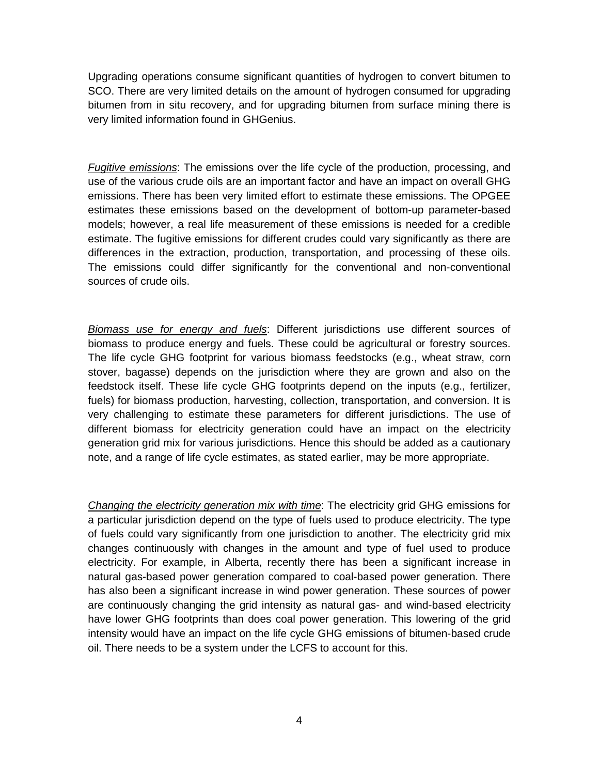Upgrading operations consume significant quantities of hydrogen to convert bitumen to SCO. There are very limited details on the amount of hydrogen consumed for upgrading bitumen from in situ recovery, and for upgrading bitumen from surface mining there is very limited information found in GHGenius.

*Fugitive emissions*: The emissions over the life cycle of the production, processing, and use of the various crude oils are an important factor and have an impact on overall GHG emissions. There has been very limited effort to estimate these emissions. The OPGEE estimates these emissions based on the development of bottom-up parameter-based models; however, a real life measurement of these emissions is needed for a credible estimate. The fugitive emissions for different crudes could vary significantly as there are differences in the extraction, production, transportation, and processing of these oils. The emissions could differ significantly for the conventional and non-conventional sources of crude oils.

*Biomass use for energy and fuels*: Different jurisdictions use different sources of biomass to produce energy and fuels. These could be agricultural or forestry sources. The life cycle GHG footprint for various biomass feedstocks (e.g., wheat straw, corn stover, bagasse) depends on the jurisdiction where they are grown and also on the feedstock itself. These life cycle GHG footprints depend on the inputs (e.g., fertilizer, fuels) for biomass production, harvesting, collection, transportation, and conversion. It is very challenging to estimate these parameters for different jurisdictions. The use of different biomass for electricity generation could have an impact on the electricity generation grid mix for various jurisdictions. Hence this should be added as a cautionary note, and a range of life cycle estimates, as stated earlier, may be more appropriate.

*Changing the electricity generation mix with time*: The electricity grid GHG emissions for a particular jurisdiction depend on the type of fuels used to produce electricity. The type of fuels could vary significantly from one jurisdiction to another. The electricity grid mix changes continuously with changes in the amount and type of fuel used to produce electricity. For example, in Alberta, recently there has been a significant increase in natural gas-based power generation compared to coal-based power generation. There has also been a significant increase in wind power generation. These sources of power are continuously changing the grid intensity as natural gas- and wind-based electricity have lower GHG footprints than does coal power generation. This lowering of the grid intensity would have an impact on the life cycle GHG emissions of bitumen-based crude oil. There needs to be a system under the LCFS to account for this.